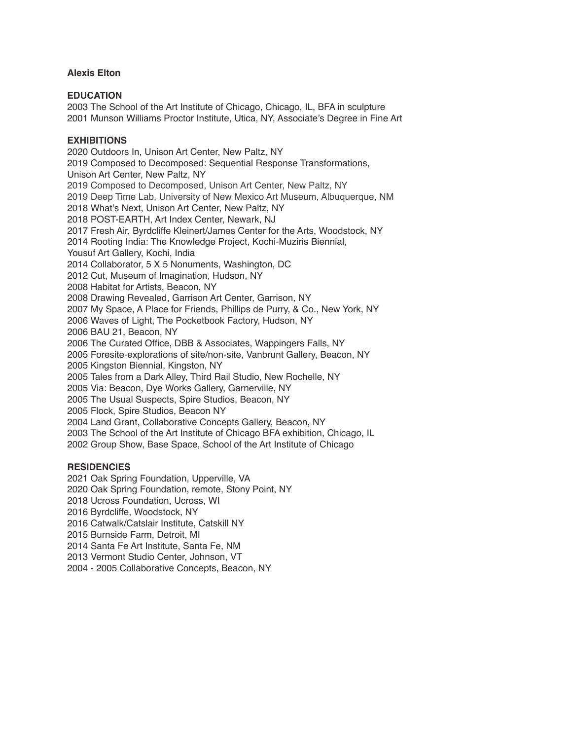### **Alexis Elton**

#### **EDUCATION**

2003 The School of the Art Institute of Chicago, Chicago, IL, BFA in sculpture 2001 Munson Williams Proctor Institute, Utica, NY, Associate's Degree in Fine Art

#### **EXHIBITIONS**

2020 Outdoors In, Unison Art Center, New Paltz, NY 2019 Composed to Decomposed: Sequential Response Transformations, Unison Art Center, New Paltz, NY 2019 Composed to Decomposed, Unison Art Center, New Paltz, NY 2019 Deep Time Lab, University of New Mexico Art Museum, Albuquerque, NM 2018 What's Next, Unison Art Center, New Paltz, NY 2018 POST-EARTH, Art Index Center, Newark, NJ 2017 Fresh Air, Byrdcliffe Kleinert/James Center for the Arts, Woodstock, NY 2014 Rooting India: The Knowledge Project, Kochi-Muziris Biennial, Yousuf Art Gallery, Kochi, India 2014 Collaborator, 5 X 5 Nonuments, Washington, DC 2012 Cut, Museum of Imagination, Hudson, NY 2008 Habitat for Artists, Beacon, NY 2008 Drawing Revealed, Garrison Art Center, Garrison, NY 2007 My Space, A Place for Friends, Phillips de Purry, & Co., New York, NY 2006 Waves of Light, The Pocketbook Factory, Hudson, NY 2006 BAU 21, Beacon, NY 2006 The Curated Office, DBB & Associates, Wappingers Falls, NY 2005 Foresite-explorations of site/non-site, Vanbrunt Gallery, Beacon, NY 2005 Kingston Biennial, Kingston, NY 2005 Tales from a Dark Alley, Third Rail Studio, New Rochelle, NY 2005 Via: Beacon, Dye Works Gallery, Garnerville, NY 2005 The Usual Suspects, Spire Studios, Beacon, NY 2005 Flock, Spire Studios, Beacon NY 2004 Land Grant, Collaborative Concepts Gallery, Beacon, NY 2003 The School of the Art Institute of Chicago BFA exhibition, Chicago, IL 2002 Group Show, Base Space, School of the Art Institute of Chicago

# **RESIDENCIES**

2021 Oak Spring Foundation, Upperville, VA

2020 Oak Spring Foundation, remote, Stony Point, NY

2018 Ucross Foundation, Ucross, WI

2016 Byrdcliffe, Woodstock, NY

2016 Catwalk/Catslair Institute, Catskill NY

2015 Burnside Farm, Detroit, MI

2014 Santa Fe Art Institute, Santa Fe, NM

2013 Vermont Studio Center, Johnson, VT

2004 - 2005 Collaborative Concepts, Beacon, NY